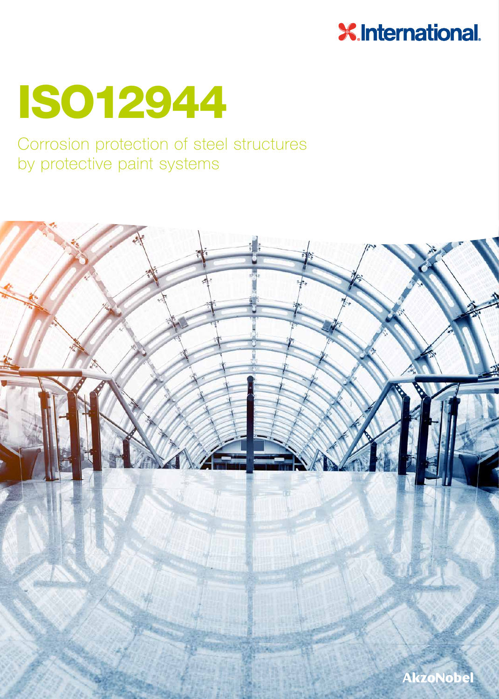### **X.International.**

# ISO12944

### Corrosion protection of steel structures by protective paint systems

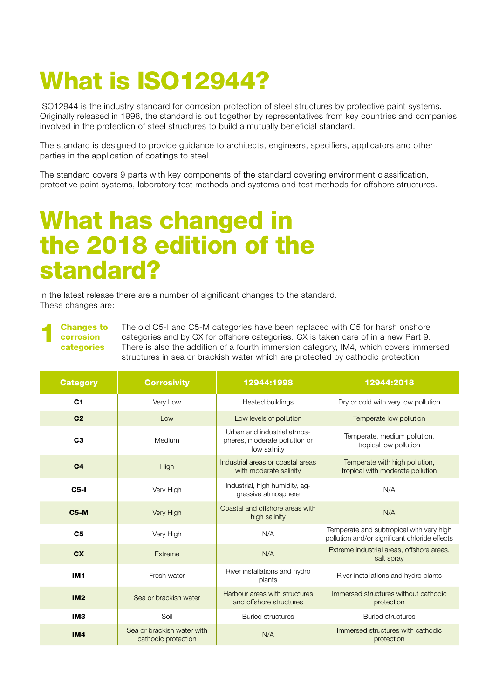# What is ISO12944?

ISO12944 is the industry standard for corrosion protection of steel structures by protective paint systems. Originally released in 1998, the standard is put together by representatives from key countries and companies involved in the protection of steel structures to build a mutually beneficial standard.

The standard is designed to provide guidance to architects, engineers, specifiers, applicators and other parties in the application of coatings to steel.

The standard covers 9 parts with key components of the standard covering environment classification, protective paint systems, laboratory test methods and systems and test methods for offshore structures.

### What has changed in the 2018 edition of the standard?

In the latest release there are a number of significant changes to the standard. These changes are:

#### **Changes to** corrosion categories

The old C5-I and C5-M categories have been replaced with C5 for harsh onshore categories and by CX for offshore categories. CX is taken care of in a new Part 9. There is also the addition of a fourth immersion category, IM4, which covers immersed structures in sea or brackish water which are protected by cathodic protection

| <b>Category</b> | <b>Corrosivity</b>                                | 12944:1998                                                                   | 12944:2018                                                                                |
|-----------------|---------------------------------------------------|------------------------------------------------------------------------------|-------------------------------------------------------------------------------------------|
| C <sub>1</sub>  | Very Low                                          | Heated buildings                                                             | Dry or cold with very low pollution                                                       |
| C <sub>2</sub>  | Low                                               | Low levels of pollution                                                      | Temperate low pollution                                                                   |
| C <sub>3</sub>  | Medium                                            | Urban and industrial atmos-<br>pheres, moderate pollution or<br>low salinity | Temperate, medium pollution,<br>tropical low pollution                                    |
| C <sub>4</sub>  | High                                              | Industrial areas or coastal areas<br>with moderate salinity                  | Temperate with high pollution,<br>tropical with moderate pollution                        |
| $C5$ -I         | Very High                                         | Industrial, high humidity, ag-<br>gressive atmosphere                        | N/A                                                                                       |
| <b>C5-M</b>     | Very High                                         | Coastal and offshore areas with<br>high salinity                             | N/A                                                                                       |
| C <sub>5</sub>  | Very High                                         | N/A                                                                          | Temperate and subtropical with very high<br>pollution and/or significant chloride effects |
| <b>CX</b>       | Extreme                                           | N/A                                                                          | Extreme industrial areas, offshore areas,<br>salt spray                                   |
| IM <sub>1</sub> | Fresh water                                       | River installations and hydro<br>plants                                      | River installations and hydro plants                                                      |
| IM2             | Sea or brackish water                             | Harbour areas with structures<br>and offshore structures                     | Immersed structures without cathodic<br>protection                                        |
| IM <sub>3</sub> | Soil                                              | <b>Buried structures</b>                                                     | <b>Buried structures</b>                                                                  |
| IM4             | Sea or brackish water with<br>cathodic protection | N/A                                                                          | Immersed structures with cathodic<br>protection                                           |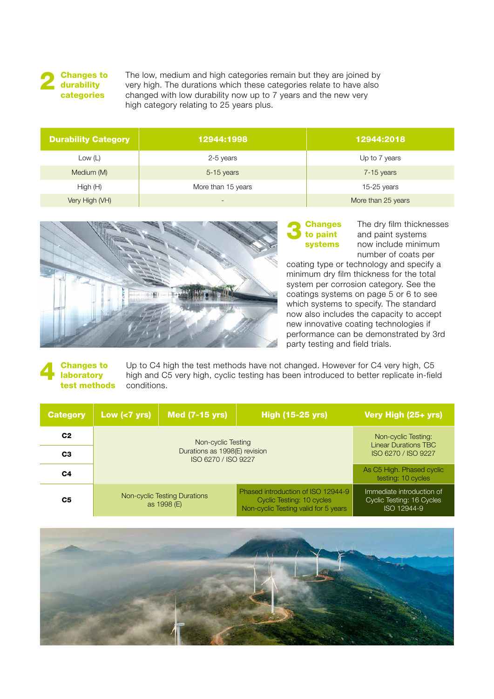

The low, medium and high categories remain but they are joined by very high. The durations which these categories relate to have also changed with low durability now up to 7 years and the new very high category relating to 25 years plus.

| <b>Durability Category</b> | 12944:1998               | 12944:2018         |
|----------------------------|--------------------------|--------------------|
| Low $(L)$                  | 2-5 years                | Up to 7 years      |
| Medium (M)                 | 5-15 years               | $7-15$ years       |
| High(H)                    | More than 15 years       | $15-25$ years      |
| Very High (VH)             | $\overline{\phantom{0}}$ | More than 25 years |



### **3** Changes<br>
to paint systems

The dry film thicknesses and paint systems now include minimum number of coats per

coating type or technology and specify a minimum dry film thickness for the total system per corrosion category. See the coatings systems on page 5 or 6 to see which systems to specify. The standard now also includes the capacity to accept new innovative coating technologies if performance can be demonstrated by 3rd party testing and field trials.

#### **Changes to laboratory** test methods

Up to C4 high the test methods have not changed. However for C4 very high, C5 high and C5 very high, cyclic testing has been introduced to better replicate in-field conditions.

| <b>Category</b> | Low $(7$ yrs)                               | Med (7-15 yrs)<br><b>High (15-25 yrs)</b>          |                                                                                                         | Very High (25+ yrs)                                                   |  |
|-----------------|---------------------------------------------|----------------------------------------------------|---------------------------------------------------------------------------------------------------------|-----------------------------------------------------------------------|--|
| C <sub>2</sub>  |                                             | Non-cyclic Testing:<br><b>Linear Durations TBC</b> |                                                                                                         |                                                                       |  |
| C <sub>3</sub>  |                                             | ISO 6270 / ISO 9227                                |                                                                                                         |                                                                       |  |
| C <sub>4</sub>  |                                             |                                                    |                                                                                                         | As C5 High. Phased cyclic<br>testing: 10 cycles                       |  |
| C <sub>5</sub>  | Non-cyclic Testing Durations<br>as 1998 (E) |                                                    | Phased introduction of ISO 12944-9<br>Cyclic Testing: 10 cycles<br>Non-cyclic Testing valid for 5 years | Immediate introduction of<br>Cyclic Testing: 16 Cycles<br>ISO 12944-9 |  |

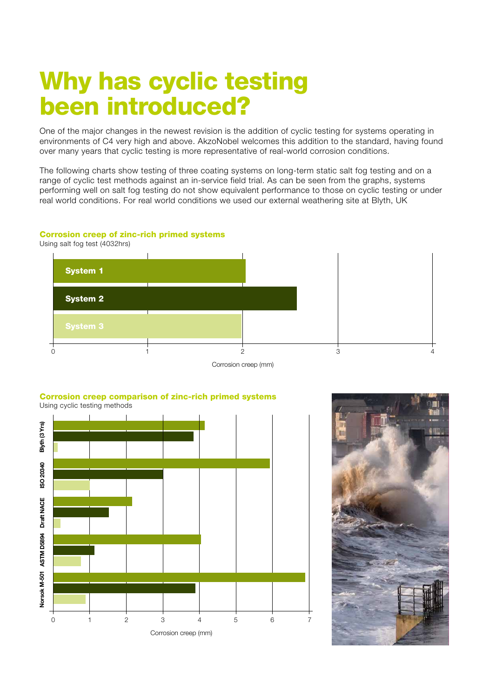## Why has cyclic testing been introduced?

One of the major changes in the newest revision is the addition of cyclic testing for systems operating in environments of C4 very high and above. AkzoNobel welcomes this addition to the standard, having found over many years that cyclic testing is more representative of real-world corrosion conditions.

The following charts show testing of three coating systems on long-term static salt fog testing and on a range of cyclic test methods against an in-service field trial. As can be seen from the graphs, systems performing well on salt fog testing do not show equivalent performance to those on cyclic testing or under real world conditions. For real world conditions we used our external weathering site at Blyth, UK

#### Corrosion creep of zinc-rich primed systems

Using salt fog test (4032hrs)



Corrosion creep (mm)





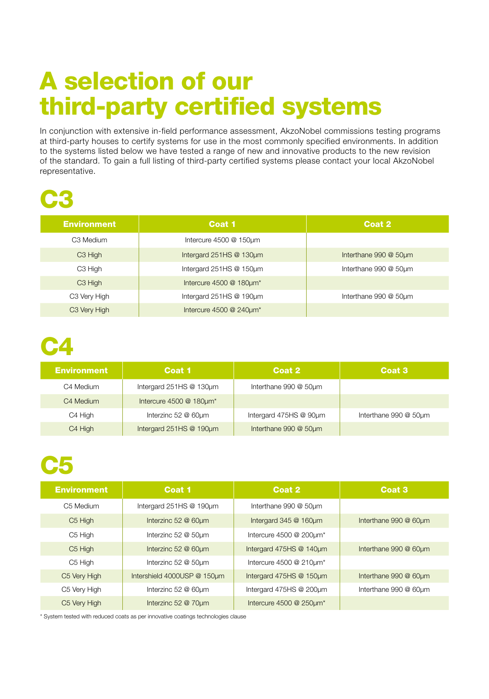# A selection of our third-party certified systems

In conjunction with extensive in-field performance assessment, AkzoNobel commissions testing programs at third-party houses to certify systems for use in the most commonly specified environments. In addition to the systems listed below we have tested a range of new and innovative products to the new revision of the standard. To gain a full listing of third-party certified systems please contact your local AkzoNobel representative.

## C3

| <b>Environment</b>       | Coat 1                           | Coat 2                |
|--------------------------|----------------------------------|-----------------------|
| C3 Medium                | Intercure 4500 @ 150um           |                       |
| C <sub>3</sub> High      | Intergard 251HS @ 130um          | Interthane 990 @ 50um |
| C3 High                  | Intergard 251HS @ 150um          | Interthane 990 @ 50um |
| C <sub>3</sub> High      | Intercure 4500 @ 180um*          |                       |
| C3 Very High             | Intergard $251$ HS @ 190 $\mu$ m | Interthane 990 @ 50um |
| C <sub>3</sub> Very High | Intercure 4500 @ 240um*          |                       |

## C4

| <b>Environment</b> | Coat 1                        | Coat 2                 | Coat 3                |  |
|--------------------|-------------------------------|------------------------|-----------------------|--|
| C4 Medium          | Intergard $251HS @ 130 \mu m$ | Interthane 990 @ 50um  |                       |  |
| C4 Medium          | Intercure 4500 @ 180um*       |                        |                       |  |
| C4 High            | Interzinc 52 @ 60µm           | Intergard 475HS @ 90µm | Interthane 990 @ 50um |  |
| C4 High            | Intergard 251HS @ 190µm       | Interthane 990 @ 50um  |                       |  |

### C5

| <b>Environment</b>  | Coat 1                      | Coat 2                  | Coat <sub>3</sub>     |
|---------------------|-----------------------------|-------------------------|-----------------------|
| C5 Medium           | Intergard 251HS @ 190µm     | Interthane 990 @ 50um   |                       |
| C <sub>5</sub> High | Interzinc 52 @ 60µm         | Intergard 345 @ 160um   | Interthane 990 @ 60um |
| C5 High             | Interzinc 52 @ 50um         | Intercure 4500 @ 200um* |                       |
| C <sub>5</sub> High | Interzinc 52 @ 60um         | Intergard 475HS @ 140µm | Interthane 990 @ 60um |
| C <sub>5</sub> High | Interzinc 52 @ 50um         | Intercure 4500 @ 210um* |                       |
| C5 Very High        | Intershield 4000USP @ 150um | Intergard 475HS @ 150um | Interthane 990 @ 60um |
| C5 Very High        | Interzinc 52 @ 60um         | Intergard 475HS @ 200µm | Interthane 990 @ 60um |
| C5 Very High        | Interzinc 52 @ 70um         | Intercure 4500 @ 250um* |                       |

\* System tested with reduced coats as per innovative coatings technologies clause